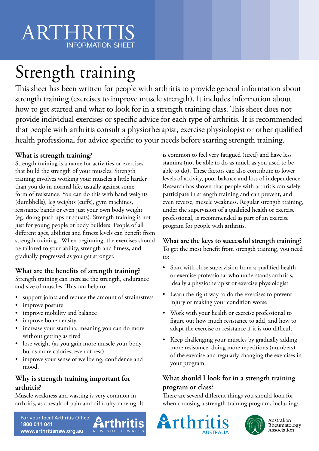# ARTHRIT INFORMATION SHEET

# Strength training

This sheet has been written for people with arthritis to provide general information about strength training (exercises to improve muscle strength). It includes information about how to get started and what to look for in a strength training class. This sheet does not provide individual exercises or specific advice for each type of arthritis. It is recommended that people with arthritis consult a physiotherapist, exercise physiologist or other qualified health professional for advice specific to your needs before starting strength training.

#### **What is strength training?**

Strength training is a name for activities or exercises that build the strength of your muscles. Strength training involves working your muscles a little harder than you do in normal life, usually against some form of resistance. You can do this with hand weights (dumbbells), leg weights (cuffs), gym machines, resistance bands or even just your own body weight (eg. doing push ups or squats). Strength training is not just for young people or body builders. People of all different ages, abilities and fitness levels can benefit from strength training. When beginning, the exercises should be tailored to your ability, strength and fitness, and gradually progressed as you get stronger.

#### **What are the benefits of strength training?**

Strength training can increase the strength, endurance and size of muscles. This can help to:

- support joints and reduce the amount of strain/stress
- improve posture
- improve mobility and balance
- improve bone density
- increase your stamina, meaning you can do more without getting as tired
- lose weight (as you gain more muscle your body burns more calories, even at rest)
- improve your sense of wellbeing, confidence and mood.

### **Why is strength training important for arthritis?**

Muscle weakness and wasting is very common in arthritis, as a result of pain and difficulty moving. It

For your local Arthritis Office: 1800 011 041 NEW SOUTH WAI www.arthritisnsw.org.au

is common to feel very fatigued (tired) and have less stamina (not be able to do as much as you used to be able to do). These factors can also contribute to lower levels of activity, poor balance and loss of independence. Research has shown that people with arthritis can safely participate in strength training and can prevent, and even reverse, muscle weakness. Regular strength training, under the supervision of a qualified health or exercise professional, is recommended as part of an exercise program for people with arthritis.

## **What are the keys to successful strength training?**

To get the most benefit from strength training, you need to:

- Start with close supervision from a qualified health or exercise professional who understands arthritis, ideally a physiotherapist or exercise physiologist.
- Learn the right way to do the exercises to prevent injury or making your condition worse
- Work with your health or exercise professional to figure out how much resistance to add, and how to adapt the exercise or resistance if it is too difficult
- Keep challenging your muscles by gradually adding more resistance, doing more repetitions (numbers) of the exercise and regularly changing the exercises in your program.

#### **What should I look for in a strength training program or class?**

There are several different things you should look for when choosing a strength training program, including:





Australian Rheumatology Association